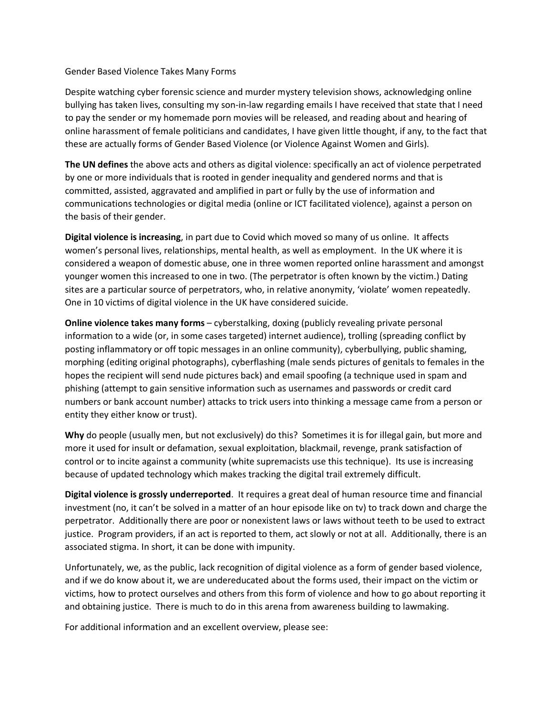## Gender Based Violence Takes Many Forms

Despite watching cyber forensic science and murder mystery television shows, acknowledging online bullying has taken lives, consulting my son-in-law regarding emails I have received that state that I need to pay the sender or my homemade porn movies will be released, and reading about and hearing of online harassment of female politicians and candidates, I have given little thought, if any, to the fact that these are actually forms of Gender Based Violence (or Violence Against Women and Girls).

**The UN defines** the above acts and others as digital violence: specifically an act of violence perpetrated by one or more individuals that is rooted in gender inequality and gendered norms and that is committed, assisted, aggravated and amplified in part or fully by the use of information and communications technologies or digital media (online or ICT facilitated violence), against a person on the basis of their gender.

**Digital violence is increasing**, in part due to Covid which moved so many of us online. It affects women's personal lives, relationships, mental health, as well as employment. In the UK where it is considered a weapon of domestic abuse, one in three women reported online harassment and amongst younger women this increased to one in two. (The perpetrator is often known by the victim.) Dating sites are a particular source of perpetrators, who, in relative anonymity, 'violate' women repeatedly. One in 10 victims of digital violence in the UK have considered suicide.

**Online violence takes many forms** – cyberstalking, doxing (publicly revealing private personal information to a wide (or, in some cases targeted) internet audience), trolling (spreading conflict by posting inflammatory or off topic messages in an online community), cyberbullying, public shaming, morphing (editing original photographs), cyberflashing (male sends pictures of genitals to females in the hopes the recipient will send nude pictures back) and email spoofing (a technique used in spam and phishing (attempt to gain sensitive information such as usernames and passwords or credit card numbers or bank account number) attacks to trick users into thinking a message came from a person or entity they either know or trust).

**Why** do people (usually men, but not exclusively) do this? Sometimes it is for illegal gain, but more and more it used for insult or defamation, sexual exploitation, blackmail, revenge, prank satisfaction of control or to incite against a community (white supremacists use this technique). Its use is increasing because of updated technology which makes tracking the digital trail extremely difficult.

**Digital violence is grossly underreported**. It requires a great deal of human resource time and financial investment (no, it can't be solved in a matter of an hour episode like on tv) to track down and charge the perpetrator. Additionally there are poor or nonexistent laws or laws without teeth to be used to extract justice. Program providers, if an act is reported to them, act slowly or not at all. Additionally, there is an associated stigma. In short, it can be done with impunity.

Unfortunately, we, as the public, lack recognition of digital violence as a form of gender based violence, and if we do know about it, we are undereducated about the forms used, their impact on the victim or victims, how to protect ourselves and others from this form of violence and how to go about reporting it and obtaining justice. There is much to do in this arena from awareness building to lawmaking.

For additional information and an excellent overview, please see: